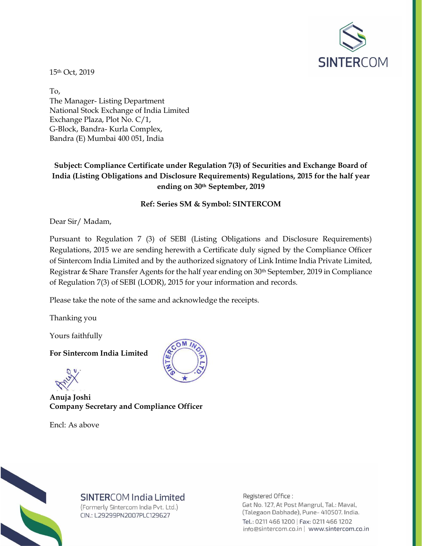

15th Oct, 2019

To, The Manager- Listing Department National Stock Exchange of India Limited Exchange Plaza, Plot No. C/1, G-Block, Bandra- Kurla Complex, Bandra (E) Mumbai 400 051, India

## **Subject: Compliance Certificate under Regulation 7(3) of Securities and Exchange Board of India (Listing Obligations and Disclosure Requirements) Regulations, 2015 for the half year ending on 30th September, 2019**

## **Ref: Series SM & Symbol: SINTERCOM**

Dear Sir/ Madam,

Pursuant to Regulation 7 (3) of SEBI (Listing Obligations and Disclosure Requirements) Regulations, 2015 we are sending herewith a Certificate duly signed by the Compliance Officer of Sintercom India Limited and by the authorized signatory of Link Intime India Private Limited, Registrar & Share Transfer Agents for the half year ending on 30th September, 2019 in Compliance of Regulation 7(3) of SEBI (LODR), 2015 for your information and records.

Please take the note of the same and acknowledge the receipts.

Thanking you

Yours faithfully

**For Sintercom India Limited**

**Anuja Joshi Company Secretary and Compliance Officer**

Encl: As above





## **SINTERCOM India Limited**

(Formerly Sintercom India Pvt. Ltd.) CIN.: L29299PN2007PLC129627

Registered Office: Gat No. 127, At Post Mangrul, Tal.: Maval, (Talegaon Dabhade), Pune- 410507. India. Tel.: 0211 466 1200 | Fax: 0211 466 1202 info@sintercom.co.in | www.sintercom.co.in